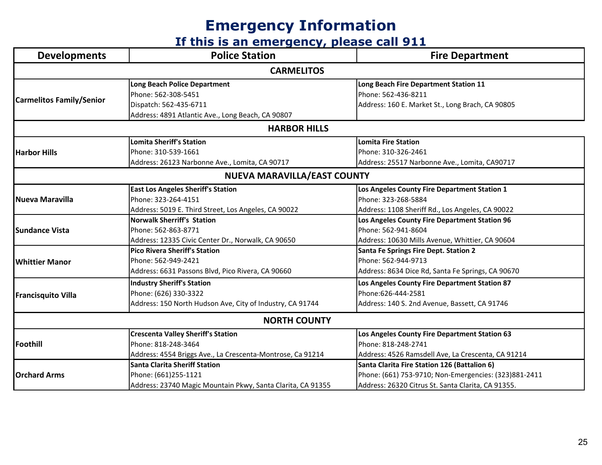| <b>Developments</b>             | <b>Police Station</b>                                       | <b>Fire Department</b>                                |  |  |
|---------------------------------|-------------------------------------------------------------|-------------------------------------------------------|--|--|
| <b>CARMELITOS</b>               |                                                             |                                                       |  |  |
| <b>Carmelitos Family/Senior</b> | <b>Long Beach Police Department</b>                         | Long Beach Fire Department Station 11                 |  |  |
|                                 | Phone: 562-308-5451                                         | Phone: 562-436-8211                                   |  |  |
|                                 | Dispatch: 562-435-6711                                      | Address: 160 E. Market St., Long Brach, CA 90805      |  |  |
|                                 | Address: 4891 Atlantic Ave., Long Beach, CA 90807           |                                                       |  |  |
|                                 | <b>HARBOR HILLS</b>                                         |                                                       |  |  |
|                                 | <b>Lomita Sheriff's Station</b>                             | <b>Lomita Fire Station</b>                            |  |  |
| <b>Harbor Hills</b>             | Phone: 310-539-1661                                         | Phone: 310-326-2461                                   |  |  |
|                                 | Address: 26123 Narbonne Ave., Lomita, CA 90717              | Address: 25517 Narbonne Ave., Lomita, CA90717         |  |  |
|                                 | <b>NUEVA MARAVILLA/EAST COUNTY</b>                          |                                                       |  |  |
|                                 | <b>East Los Angeles Sheriff's Station</b>                   | Los Angeles County Fire Department Station 1          |  |  |
| <b>Nueva Maravilla</b>          | Phone: 323-264-4151                                         | Phone: 323-268-5884                                   |  |  |
|                                 | Address: 5019 E. Third Street, Los Angeles, CA 90022        | Address: 1108 Sheriff Rd., Los Angeles, CA 90022      |  |  |
|                                 | <b>Norwalk Sherriff's Station</b>                           | Los Angeles County Fire Department Station 96         |  |  |
| <b>Sundance Vista</b>           | Phone: 562-863-8771                                         | Phone: 562-941-8604                                   |  |  |
|                                 | Address: 12335 Civic Center Dr., Norwalk, CA 90650          | Address: 10630 Mills Avenue, Whittier, CA 90604       |  |  |
|                                 | <b>Pico Rivera Sheriff's Station</b>                        | <b>Santa Fe Springs Fire Dept. Station 2</b>          |  |  |
| <b>Whittier Manor</b>           | Phone: 562-949-2421                                         | Phone: 562-944-9713                                   |  |  |
|                                 | Address: 6631 Passons Blvd, Pico Rivera, CA 90660           | Address: 8634 Dice Rd, Santa Fe Springs, CA 90670     |  |  |
| <b>Francisquito Villa</b>       | <b>Industry Sheriff's Station</b>                           | Los Angeles County Fire Department Station 87         |  |  |
|                                 | Phone: (626) 330-3322                                       | Phone:626-444-2581                                    |  |  |
|                                 | Address: 150 North Hudson Ave, City of Industry, CA 91744   | Address: 140 S. 2nd Avenue, Bassett, CA 91746         |  |  |
|                                 | <b>NORTH COUNTY</b>                                         |                                                       |  |  |
| Foothill                        | <b>Crescenta Valley Sheriff's Station</b>                   | Los Angeles County Fire Department Station 63         |  |  |
|                                 | Phone: 818-248-3464                                         | Phone: 818-248-2741                                   |  |  |
|                                 | Address: 4554 Briggs Ave., La Crescenta-Montrose, Ca 91214  | Address: 4526 Ramsdell Ave, La Crescenta, CA 91214    |  |  |
| <b>Orchard Arms</b>             | <b>Santa Clarita Sheriff Station</b>                        | Santa Clarita Fire Station 126 (Battalion 6)          |  |  |
|                                 | Phone: (661)255-1121                                        | Phone: (661) 753-9710; Non-Emergencies: (323)881-2411 |  |  |
|                                 | Address: 23740 Magic Mountain Pkwy, Santa Clarita, CA 91355 | Address: 26320 Citrus St. Santa Clarita, CA 91355.    |  |  |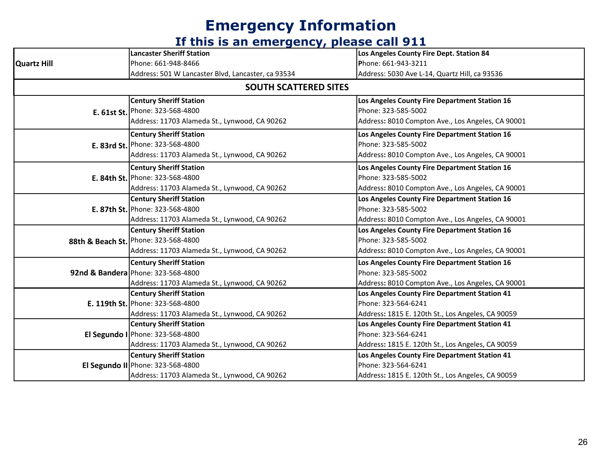| <b>Quartz Hill</b>           | <b>Lancaster Sheriff Station</b>                   | Los Angeles County Fire Dept. Station 84          |  |
|------------------------------|----------------------------------------------------|---------------------------------------------------|--|
|                              | Phone: 661-948-8466                                | Phone: 661-943-3211                               |  |
|                              | Address: 501 W Lancaster Blvd, Lancaster, ca 93534 | Address: 5030 Ave L-14, Quartz Hill, ca 93536     |  |
| <b>SOUTH SCATTERED SITES</b> |                                                    |                                                   |  |
|                              | <b>Century Sheriff Station</b>                     | Los Angeles County Fire Department Station 16     |  |
|                              | E. 61st St. Phone: 323-568-4800                    | Phone: 323-585-5002                               |  |
|                              | Address: 11703 Alameda St., Lynwood, CA 90262      | Address: 8010 Compton Ave., Los Angeles, CA 90001 |  |
|                              | <b>Century Sheriff Station</b>                     | Los Angeles County Fire Department Station 16     |  |
|                              | E. 83rd St. Phone: 323-568-4800                    | Phone: 323-585-5002                               |  |
|                              | Address: 11703 Alameda St., Lynwood, CA 90262      | Address: 8010 Compton Ave., Los Angeles, CA 90001 |  |
|                              | <b>Century Sheriff Station</b>                     | Los Angeles County Fire Department Station 16     |  |
|                              | E. 84th St. Phone: 323-568-4800                    | Phone: 323-585-5002                               |  |
|                              | Address: 11703 Alameda St., Lynwood, CA 90262      | Address: 8010 Compton Ave., Los Angeles, CA 90001 |  |
|                              | <b>Century Sheriff Station</b>                     | Los Angeles County Fire Department Station 16     |  |
|                              | E. 87th St. Phone: 323-568-4800                    | Phone: 323-585-5002                               |  |
|                              | Address: 11703 Alameda St., Lynwood, CA 90262      | Address: 8010 Compton Ave., Los Angeles, CA 90001 |  |
|                              | <b>Century Sheriff Station</b>                     | Los Angeles County Fire Department Station 16     |  |
|                              | 88th & Beach St. Phone: 323-568-4800               | Phone: 323-585-5002                               |  |
|                              | Address: 11703 Alameda St., Lynwood, CA 90262      | Address: 8010 Compton Ave., Los Angeles, CA 90001 |  |
|                              | <b>Century Sheriff Station</b>                     | Los Angeles County Fire Department Station 16     |  |
|                              | 92nd & Bandera Phone: 323-568-4800                 | Phone: 323-585-5002                               |  |
|                              | Address: 11703 Alameda St., Lynwood, CA 90262      | Address: 8010 Compton Ave., Los Angeles, CA 90001 |  |
|                              | <b>Century Sheriff Station</b>                     | Los Angeles County Fire Department Station 41     |  |
|                              | E. 119th St. Phone: 323-568-4800                   | Phone: 323-564-6241                               |  |
|                              | Address: 11703 Alameda St., Lynwood, CA 90262      | Address: 1815 E. 120th St., Los Angeles, CA 90059 |  |
|                              | <b>Century Sheriff Station</b>                     | Los Angeles County Fire Department Station 41     |  |
|                              | El Segundo I   Phone: 323-568-4800                 | Phone: 323-564-6241                               |  |
|                              | Address: 11703 Alameda St., Lynwood, CA 90262      | Address: 1815 E. 120th St., Los Angeles, CA 90059 |  |
|                              | <b>Century Sheriff Station</b>                     | Los Angeles County Fire Department Station 41     |  |
|                              | El Segundo II Phone: 323-568-4800                  | Phone: 323-564-6241                               |  |
|                              | Address: 11703 Alameda St., Lynwood, CA 90262      | Address: 1815 E. 120th St., Los Angeles, CA 90059 |  |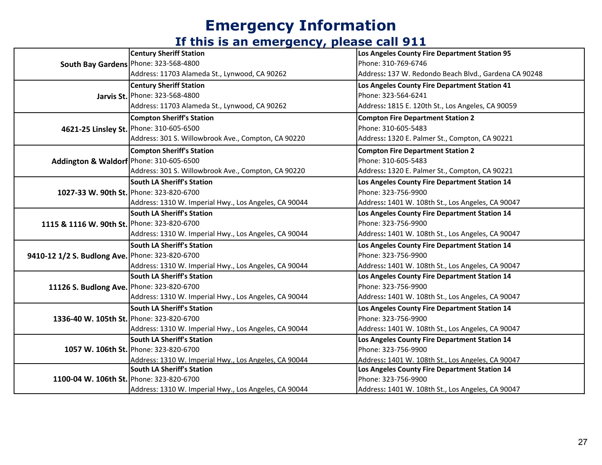| South Bay Gardens   Phone: 323-568-4800         | <b>Century Sheriff Station</b>                        | Los Angeles County Fire Department Station 95         |
|-------------------------------------------------|-------------------------------------------------------|-------------------------------------------------------|
|                                                 |                                                       | Phone: 310-769-6746                                   |
|                                                 | Address: 11703 Alameda St., Lynwood, CA 90262         | Address: 137 W. Redondo Beach Blvd., Gardena CA 90248 |
|                                                 | <b>Century Sheriff Station</b>                        | Los Angeles County Fire Department Station 41         |
|                                                 | Jarvis St. Phone: 323-568-4800                        | Phone: 323-564-6241                                   |
|                                                 | Address: 11703 Alameda St., Lynwood, CA 90262         | Address: 1815 E. 120th St., Los Angeles, CA 90059     |
| 4621-25 Linsley St. Phone: 310-605-6500         | <b>Compton Sheriff's Station</b>                      | <b>Compton Fire Department Station 2</b>              |
|                                                 |                                                       | Phone: 310-605-5483                                   |
|                                                 | Address: 301 S. Willowbrook Ave., Compton, CA 90220   | Address: 1320 E. Palmer St., Compton, CA 90221        |
|                                                 | <b>Compton Sheriff's Station</b>                      | <b>Compton Fire Department Station 2</b>              |
| Addington & Waldorf Phone: 310-605-6500         |                                                       | Phone: 310-605-5483                                   |
|                                                 | Address: 301 S. Willowbrook Ave., Compton, CA 90220   | Address: 1320 E. Palmer St., Compton, CA 90221        |
|                                                 | South LA Sheriff's Station                            | Los Angeles County Fire Department Station 14         |
|                                                 | 1027-33 W. 90th St. Phone: 323-820-6700               | Phone: 323-756-9900                                   |
|                                                 | Address: 1310 W. Imperial Hwy., Los Angeles, CA 90044 | Address: 1401 W. 108th St., Los Angeles, CA 90047     |
|                                                 | South LA Sheriff's Station                            | Los Angeles County Fire Department Station 14         |
| 1115 & 1116 W. 90th St. Phone: 323-820-6700     |                                                       | Phone: 323-756-9900                                   |
|                                                 | Address: 1310 W. Imperial Hwy., Los Angeles, CA 90044 | Address: 1401 W. 108th St., Los Angeles, CA 90047     |
|                                                 | South LA Sheriff's Station                            | Los Angeles County Fire Department Station 14         |
| 9410-12 1/2 S. Budlong Ave. Phone: 323-820-6700 |                                                       | Phone: 323-756-9900                                   |
|                                                 | Address: 1310 W. Imperial Hwy., Los Angeles, CA 90044 | Address: 1401 W. 108th St., Los Angeles, CA 90047     |
|                                                 | South LA Sheriff's Station                            | Los Angeles County Fire Department Station 14         |
| 11126 S. Budlong Ave. Phone: 323-820-6700       |                                                       | Phone: 323-756-9900                                   |
|                                                 | Address: 1310 W. Imperial Hwy., Los Angeles, CA 90044 | Address: 1401 W. 108th St., Los Angeles, CA 90047     |
|                                                 | <b>South LA Sheriff's Station</b>                     | Los Angeles County Fire Department Station 14         |
| 1336-40 W. 105th St. Phone: 323-820-6700        |                                                       | Phone: 323-756-9900                                   |
|                                                 | Address: 1310 W. Imperial Hwy., Los Angeles, CA 90044 | Address: 1401 W. 108th St., Los Angeles, CA 90047     |
|                                                 | South LA Sheriff's Station                            | Los Angeles County Fire Department Station 14         |
|                                                 | 1057 W. 106th St. Phone: 323-820-6700                 | Phone: 323-756-9900                                   |
|                                                 | Address: 1310 W. Imperial Hwy., Los Angeles, CA 90044 | Address: 1401 W. 108th St., Los Angeles, CA 90047     |
| 1100-04 W. 106th St. Phone: 323-820-6700        | South LA Sheriff's Station                            | Los Angeles County Fire Department Station 14         |
|                                                 |                                                       | Phone: 323-756-9900                                   |
|                                                 | Address: 1310 W. Imperial Hwy., Los Angeles, CA 90044 | Address: 1401 W. 108th St., Los Angeles, CA 90047     |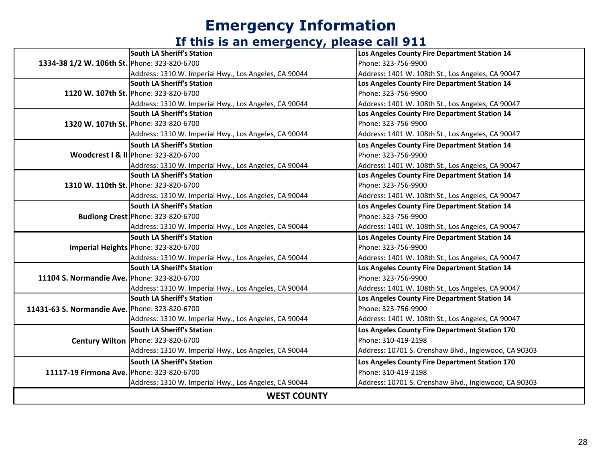|                                                | <b>South LA Sheriff's Station</b>                     | Los Angeles County Fire Department Station 14         |
|------------------------------------------------|-------------------------------------------------------|-------------------------------------------------------|
| 1334-38 1/2 W. 106th St. Phone: 323-820-6700   |                                                       | Phone: 323-756-9900                                   |
|                                                | Address: 1310 W. Imperial Hwy., Los Angeles, CA 90044 | Address: 1401 W. 108th St., Los Angeles, CA 90047     |
|                                                | <b>South LA Sheriff's Station</b>                     | Los Angeles County Fire Department Station 14         |
|                                                | 1120 W. 107th St. Phone: 323-820-6700                 | Phone: 323-756-9900                                   |
|                                                | Address: 1310 W. Imperial Hwy., Los Angeles, CA 90044 | Address: 1401 W. 108th St., Los Angeles, CA 90047     |
|                                                | <b>South LA Sheriff's Station</b>                     | Los Angeles County Fire Department Station 14         |
|                                                | 1320 W. 107th St. Phone: 323-820-6700                 | Phone: 323-756-9900                                   |
|                                                | Address: 1310 W. Imperial Hwy., Los Angeles, CA 90044 | Address: 1401 W. 108th St., Los Angeles, CA 90047     |
|                                                | <b>South LA Sheriff's Station</b>                     | Los Angeles County Fire Department Station 14         |
|                                                | Woodcrest   & II Phone: 323-820-6700                  | Phone: 323-756-9900                                   |
|                                                | Address: 1310 W. Imperial Hwy., Los Angeles, CA 90044 | Address: 1401 W. 108th St., Los Angeles, CA 90047     |
|                                                | <b>South LA Sheriff's Station</b>                     | Los Angeles County Fire Department Station 14         |
|                                                | 1310 W. 110th St. Phone: 323-820-6700                 | Phone: 323-756-9900                                   |
|                                                | Address: 1310 W. Imperial Hwy., Los Angeles, CA 90044 | Address: 1401 W. 108th St., Los Angeles, CA 90047     |
|                                                | <b>South LA Sheriff's Station</b>                     | Los Angeles County Fire Department Station 14         |
|                                                | <b>Budlong Crest</b> Phone: 323-820-6700              | Phone: 323-756-9900                                   |
|                                                | Address: 1310 W. Imperial Hwy., Los Angeles, CA 90044 | Address: 1401 W. 108th St., Los Angeles, CA 90047     |
|                                                | <b>South LA Sheriff's Station</b>                     | Los Angeles County Fire Department Station 14         |
|                                                | Imperial Heights Phone: 323-820-6700                  | Phone: 323-756-9900                                   |
|                                                | Address: 1310 W. Imperial Hwy., Los Angeles, CA 90044 | Address: 1401 W. 108th St., Los Angeles, CA 90047     |
|                                                | <b>South LA Sheriff's Station</b>                     | Los Angeles County Fire Department Station 14         |
| 11104 S. Normandie Ave. Phone: 323-820-6700    |                                                       | Phone: 323-756-9900                                   |
|                                                | Address: 1310 W. Imperial Hwy., Los Angeles, CA 90044 | Address: 1401 W. 108th St., Los Angeles, CA 90047     |
|                                                | <b>South LA Sheriff's Station</b>                     | Los Angeles County Fire Department Station 14         |
| 11431-63 S. Normandie Ave. Phone: 323-820-6700 |                                                       | Phone: 323-756-9900                                   |
|                                                | Address: 1310 W. Imperial Hwy., Los Angeles, CA 90044 | Address: 1401 W. 108th St., Los Angeles, CA 90047     |
|                                                | <b>South LA Sheriff's Station</b>                     | Los Angeles County Fire Department Station 170        |
|                                                | Century Wilton   Phone: 323-820-6700                  | Phone: 310-419-2198                                   |
|                                                | Address: 1310 W. Imperial Hwy., Los Angeles, CA 90044 | Address: 10701 S. Crenshaw Blvd., Inglewood, CA 90303 |
| 11117-19 Firmona Ave. Phone: 323-820-6700      | <b>South LA Sheriff's Station</b>                     | Los Angeles County Fire Department Station 170        |
|                                                |                                                       | Phone: 310-419-2198                                   |
|                                                | Address: 1310 W. Imperial Hwy., Los Angeles, CA 90044 | Address: 10701 S. Crenshaw Blvd., Inglewood, CA 90303 |
| <b>WEST COUNTY</b>                             |                                                       |                                                       |